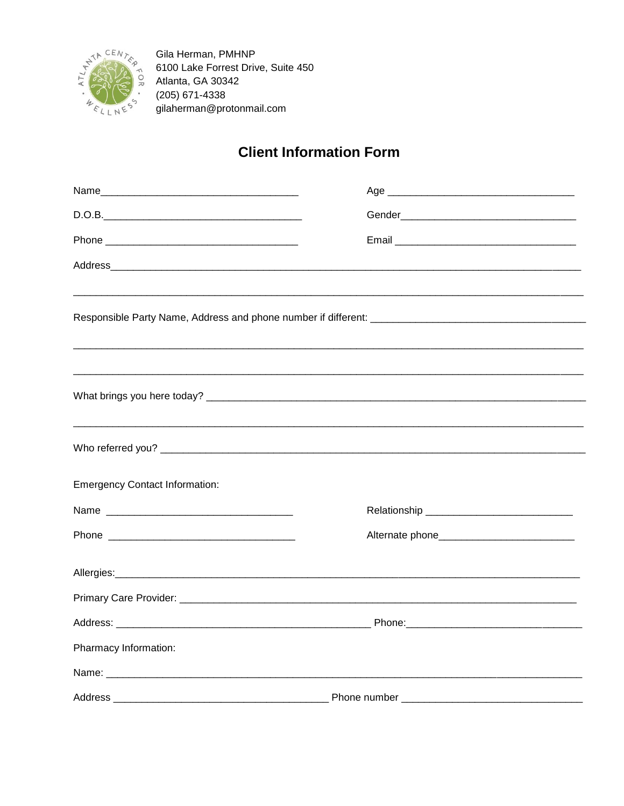

Gila Herman, PMHNP 6100 Lake Forrest Drive, Suite 450 Atlanta, GA 30342 (205) 671-4338 gilaherman@protonmail.com

## **Client Information Form**

| <b>Emergency Contact Information:</b> |                                               |  |
|---------------------------------------|-----------------------------------------------|--|
|                                       |                                               |  |
|                                       | Alternate phone______________________________ |  |
|                                       |                                               |  |
|                                       |                                               |  |
|                                       |                                               |  |
| Pharmacy Information:                 |                                               |  |
|                                       |                                               |  |
| Address                               | Phone number __________                       |  |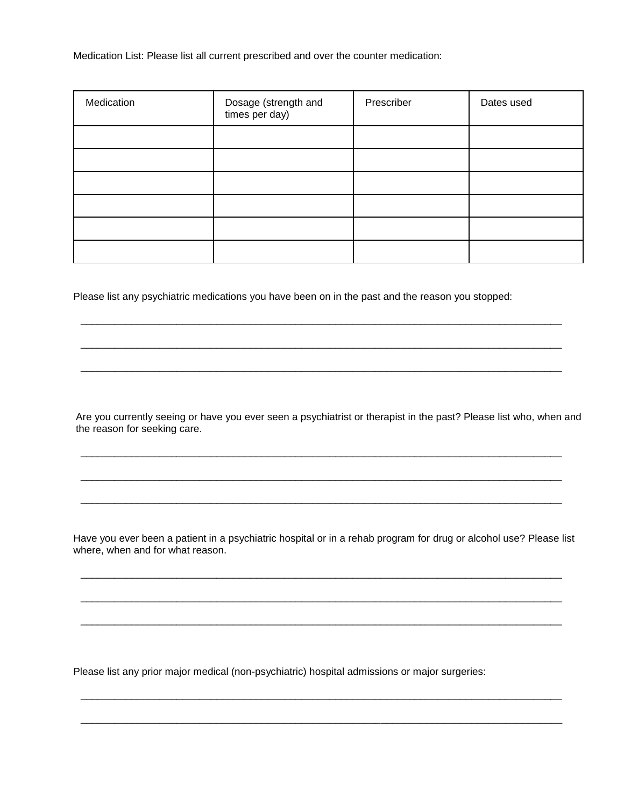Medication List: Please list all current prescribed and over the counter medication:

| Medication | Dosage (strength and<br>times per day) | Prescriber | Dates used |
|------------|----------------------------------------|------------|------------|
|            |                                        |            |            |
|            |                                        |            |            |
|            |                                        |            |            |
|            |                                        |            |            |
|            |                                        |            |            |
|            |                                        |            |            |

Please list any psychiatric medications you have been on in the past and the reason you stopped:

Are you currently seeing or have you ever seen a psychiatrist or therapist in the past? Please list who, when and the reason for seeking care.

\_\_\_\_\_\_\_\_\_\_\_\_\_\_\_\_\_\_\_\_\_\_\_\_\_\_\_\_\_\_\_\_\_\_\_\_\_\_\_\_\_\_\_\_\_\_\_\_\_\_\_\_\_\_\_\_\_\_\_\_\_\_\_\_\_\_\_\_\_\_\_\_\_\_\_\_\_\_\_\_\_\_\_\_\_

\_\_\_\_\_\_\_\_\_\_\_\_\_\_\_\_\_\_\_\_\_\_\_\_\_\_\_\_\_\_\_\_\_\_\_\_\_\_\_\_\_\_\_\_\_\_\_\_\_\_\_\_\_\_\_\_\_\_\_\_\_\_\_\_\_\_\_\_\_\_\_\_\_\_\_\_\_\_\_\_\_\_\_\_\_

\_\_\_\_\_\_\_\_\_\_\_\_\_\_\_\_\_\_\_\_\_\_\_\_\_\_\_\_\_\_\_\_\_\_\_\_\_\_\_\_\_\_\_\_\_\_\_\_\_\_\_\_\_\_\_\_\_\_\_\_\_\_\_\_\_\_\_\_\_\_\_\_\_\_\_\_\_\_\_\_\_\_\_\_\_

\_\_\_\_\_\_\_\_\_\_\_\_\_\_\_\_\_\_\_\_\_\_\_\_\_\_\_\_\_\_\_\_\_\_\_\_\_\_\_\_\_\_\_\_\_\_\_\_\_\_\_\_\_\_\_\_\_\_\_\_\_\_\_\_\_\_\_\_\_\_\_\_\_\_\_\_\_\_\_\_\_\_\_\_\_

\_\_\_\_\_\_\_\_\_\_\_\_\_\_\_\_\_\_\_\_\_\_\_\_\_\_\_\_\_\_\_\_\_\_\_\_\_\_\_\_\_\_\_\_\_\_\_\_\_\_\_\_\_\_\_\_\_\_\_\_\_\_\_\_\_\_\_\_\_\_\_\_\_\_\_\_\_\_\_\_\_\_\_\_\_

\_\_\_\_\_\_\_\_\_\_\_\_\_\_\_\_\_\_\_\_\_\_\_\_\_\_\_\_\_\_\_\_\_\_\_\_\_\_\_\_\_\_\_\_\_\_\_\_\_\_\_\_\_\_\_\_\_\_\_\_\_\_\_\_\_\_\_\_\_\_\_\_\_\_\_\_\_\_\_\_\_\_\_\_\_

Have you ever been a patient in a psychiatric hospital or in a rehab program for drug or alcohol use? Please list where, when and for what reason.

\_\_\_\_\_\_\_\_\_\_\_\_\_\_\_\_\_\_\_\_\_\_\_\_\_\_\_\_\_\_\_\_\_\_\_\_\_\_\_\_\_\_\_\_\_\_\_\_\_\_\_\_\_\_\_\_\_\_\_\_\_\_\_\_\_\_\_\_\_\_\_\_\_\_\_\_\_\_\_\_\_\_\_\_\_

\_\_\_\_\_\_\_\_\_\_\_\_\_\_\_\_\_\_\_\_\_\_\_\_\_\_\_\_\_\_\_\_\_\_\_\_\_\_\_\_\_\_\_\_\_\_\_\_\_\_\_\_\_\_\_\_\_\_\_\_\_\_\_\_\_\_\_\_\_\_\_\_\_\_\_\_\_\_\_\_\_\_\_\_\_

\_\_\_\_\_\_\_\_\_\_\_\_\_\_\_\_\_\_\_\_\_\_\_\_\_\_\_\_\_\_\_\_\_\_\_\_\_\_\_\_\_\_\_\_\_\_\_\_\_\_\_\_\_\_\_\_\_\_\_\_\_\_\_\_\_\_\_\_\_\_\_\_\_\_\_\_\_\_\_\_\_\_\_\_\_

\_\_\_\_\_\_\_\_\_\_\_\_\_\_\_\_\_\_\_\_\_\_\_\_\_\_\_\_\_\_\_\_\_\_\_\_\_\_\_\_\_\_\_\_\_\_\_\_\_\_\_\_\_\_\_\_\_\_\_\_\_\_\_\_\_\_\_\_\_\_\_\_\_\_\_\_\_\_\_\_\_\_\_\_\_

\_\_\_\_\_\_\_\_\_\_\_\_\_\_\_\_\_\_\_\_\_\_\_\_\_\_\_\_\_\_\_\_\_\_\_\_\_\_\_\_\_\_\_\_\_\_\_\_\_\_\_\_\_\_\_\_\_\_\_\_\_\_\_\_\_\_\_\_\_\_\_\_\_\_\_\_\_\_\_\_\_\_\_\_\_

Please list any prior major medical (non-psychiatric) hospital admissions or major surgeries: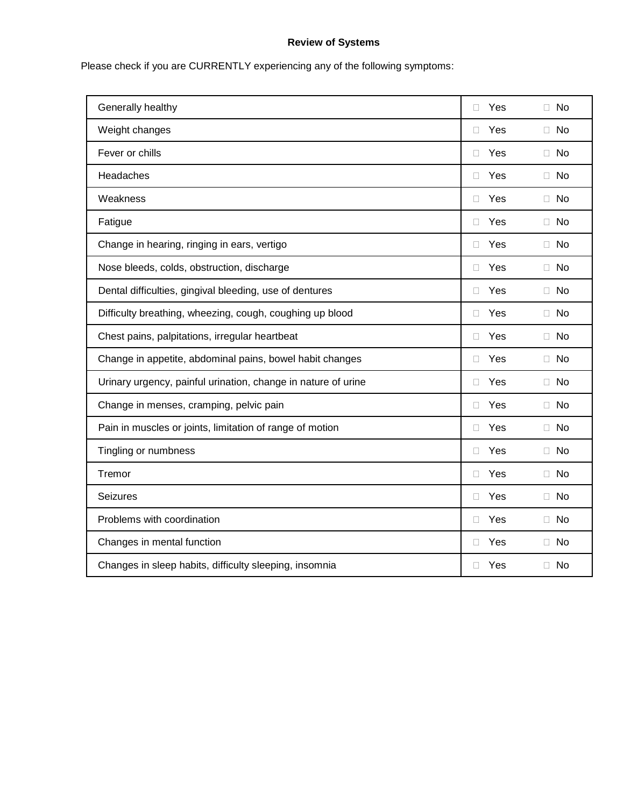## **Review of Systems**

Please check if you are CURRENTLY experiencing any of the following symptoms:

| Generally healthy                                             | Yes<br>П      | $\Box$ No |
|---------------------------------------------------------------|---------------|-----------|
| Weight changes                                                | Yes<br>П      | $\Box$ No |
| Fever or chills                                               | Yes<br>П      | $\Box$ No |
| Headaches                                                     | Yes<br>П      | $\Box$ No |
| Weakness                                                      | Yes<br>П      | $\Box$ No |
| Fatigue                                                       | $\Box$<br>Yes | $\Box$ No |
| Change in hearing, ringing in ears, vertigo                   | Yes<br>П      | $\Box$ No |
| Nose bleeds, colds, obstruction, discharge                    | Yes<br>П.     | $\Box$ No |
| Dental difficulties, gingival bleeding, use of dentures       | Yes<br>П.     | Π No      |
| Difficulty breathing, wheezing, cough, coughing up blood      | Yes<br>П      | $\Box$ No |
| Chest pains, palpitations, irregular heartbeat                | Yes<br>П      | $\Box$ No |
| Change in appetite, abdominal pains, bowel habit changes      | Yes<br>П      | $\Box$ No |
| Urinary urgency, painful urination, change in nature of urine | Yes<br>П      | $\Box$ No |
| Change in menses, cramping, pelvic pain                       | Yes<br>П      | $\Box$ No |
| Pain in muscles or joints, limitation of range of motion      | Yes<br>П      | $\Box$ No |
| Tingling or numbness                                          | Yes<br>п      | Π No      |
| Tremor                                                        | Yes<br>П      | □ No      |
| <b>Seizures</b>                                               | Yes<br>П      | Π No      |
| Problems with coordination                                    | Yes<br>П      | $\Box$ No |
| Changes in mental function                                    | Yes<br>П      | $\Box$ No |
| Changes in sleep habits, difficulty sleeping, insomnia        | Yes<br>п      | $\Box$ No |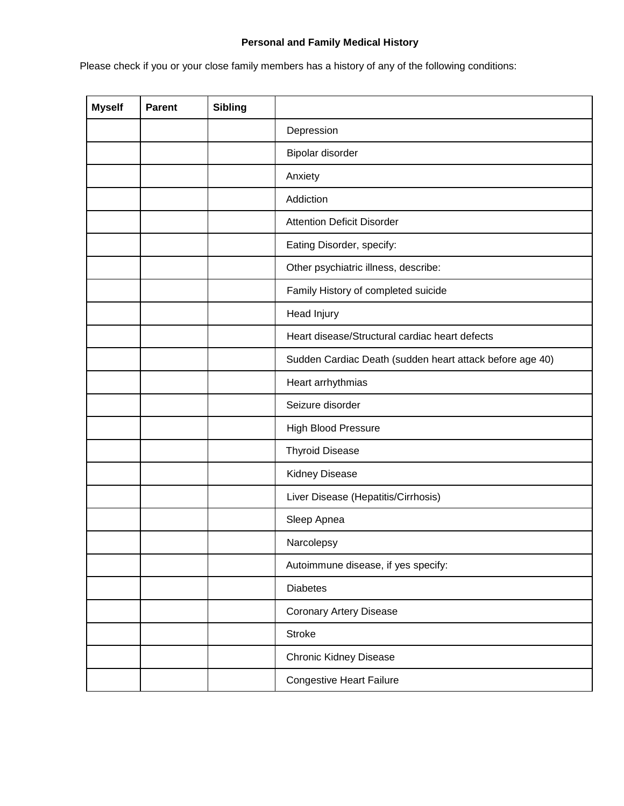## **Personal and Family Medical History**

Please check if you or your close family members has a history of any of the following conditions:

| <b>Myself</b> | <b>Parent</b> | <b>Sibling</b> |                                                          |  |
|---------------|---------------|----------------|----------------------------------------------------------|--|
|               |               |                | Depression                                               |  |
|               |               |                | Bipolar disorder                                         |  |
|               |               |                | Anxiety                                                  |  |
|               |               |                | Addiction                                                |  |
|               |               |                | <b>Attention Deficit Disorder</b>                        |  |
|               |               |                | Eating Disorder, specify:                                |  |
|               |               |                | Other psychiatric illness, describe:                     |  |
|               |               |                | Family History of completed suicide                      |  |
|               |               |                | Head Injury                                              |  |
|               |               |                | Heart disease/Structural cardiac heart defects           |  |
|               |               |                | Sudden Cardiac Death (sudden heart attack before age 40) |  |
|               |               |                | Heart arrhythmias                                        |  |
|               |               |                | Seizure disorder                                         |  |
|               |               |                | High Blood Pressure                                      |  |
|               |               |                | <b>Thyroid Disease</b>                                   |  |
|               |               |                | Kidney Disease                                           |  |
|               |               |                | Liver Disease (Hepatitis/Cirrhosis)                      |  |
|               |               |                | Sleep Apnea                                              |  |
|               |               |                | Narcolepsy                                               |  |
|               |               |                | Autoimmune disease, if yes specify:                      |  |
|               |               |                | <b>Diabetes</b>                                          |  |
|               |               |                | <b>Coronary Artery Disease</b>                           |  |
|               |               |                | <b>Stroke</b>                                            |  |
|               |               |                | Chronic Kidney Disease                                   |  |
|               |               |                | <b>Congestive Heart Failure</b>                          |  |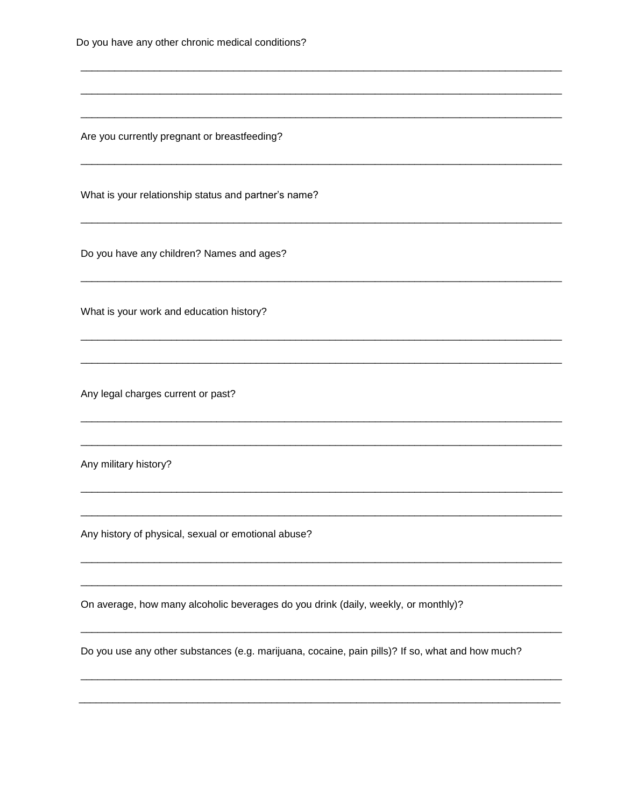|  |  | Do you have any other chronic medical conditions? |
|--|--|---------------------------------------------------|
|  |  |                                                   |

Are you currently pregnant or breastfeeding?

What is your relationship status and partner's name?

Do you have any children? Names and ages?

What is your work and education history?

Any legal charges current or past?

Any military history?

Any history of physical, sexual or emotional abuse?

On average, how many alcoholic beverages do you drink (daily, weekly, or monthly)?

Do you use any other substances (e.g. marijuana, cocaine, pain pills)? If so, what and how much?